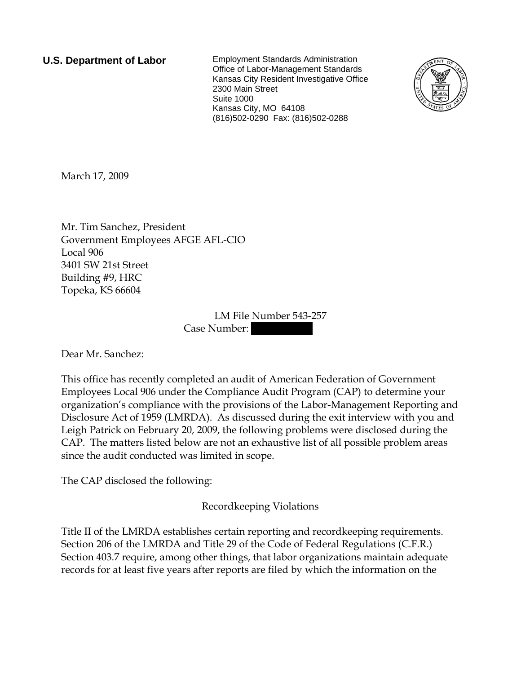**U.S. Department of Labor** Employment Standards Administration Office of Labor-Management Standards Kansas City Resident Investigative Office 2300 Main Street Suite 1000 Kansas City, MO 64108 (816)502-0290 Fax: (816)502-0288



March 17, 2009

Mr. Tim Sanchez, President Government Employees AFGE AFL-CIO Local 906 3401 SW 21st Street Building #9, HRC Topeka, KS 66604

> LM File Number 543-257 Case Number:

Dear Mr. Sanchez:

This office has recently completed an audit of American Federation of Government Employees Local 906 under the Compliance Audit Program (CAP) to determine your organization's compliance with the provisions of the Labor-Management Reporting and Disclosure Act of 1959 (LMRDA). As discussed during the exit interview with you and Leigh Patrick on February 20, 2009, the following problems were disclosed during the CAP. The matters listed below are not an exhaustive list of all possible problem areas since the audit conducted was limited in scope.

The CAP disclosed the following:

Recordkeeping Violations

Title II of the LMRDA establishes certain reporting and recordkeeping requirements. Section 206 of the LMRDA and Title 29 of the Code of Federal Regulations (C.F.R.) Section 403.7 require, among other things, that labor organizations maintain adequate records for at least five years after reports are filed by which the information on the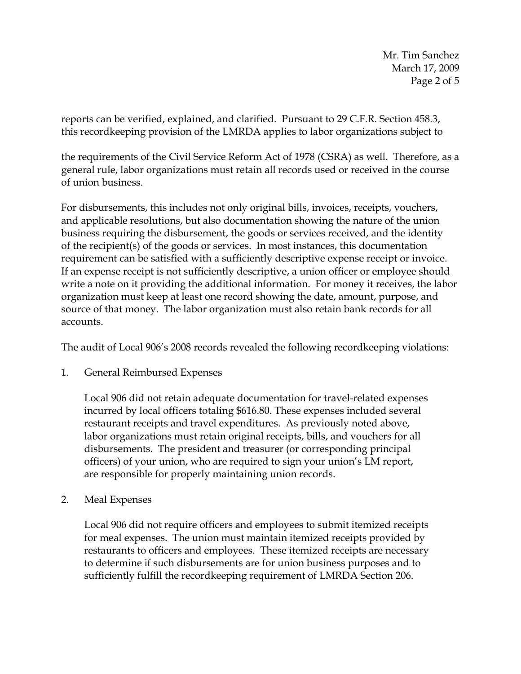Mr. Tim Sanchez March 17, 2009 Page 2 of 5

reports can be verified, explained, and clarified. Pursuant to 29 C.F.R. Section 458.3, this recordkeeping provision of the LMRDA applies to labor organizations subject to

the requirements of the Civil Service Reform Act of 1978 (CSRA) as well. Therefore, as a general rule, labor organizations must retain all records used or received in the course of union business.

For disbursements, this includes not only original bills, invoices, receipts, vouchers, and applicable resolutions, but also documentation showing the nature of the union business requiring the disbursement, the goods or services received, and the identity of the recipient(s) of the goods or services. In most instances, this documentation requirement can be satisfied with a sufficiently descriptive expense receipt or invoice. If an expense receipt is not sufficiently descriptive, a union officer or employee should write a note on it providing the additional information. For money it receives, the labor organization must keep at least one record showing the date, amount, purpose, and source of that money. The labor organization must also retain bank records for all accounts.

The audit of Local 906's 2008 records revealed the following recordkeeping violations:

1. General Reimbursed Expenses

Local 906 did not retain adequate documentation for travel-related expenses incurred by local officers totaling \$616.80. These expenses included several restaurant receipts and travel expenditures. As previously noted above, labor organizations must retain original receipts, bills, and vouchers for all disbursements. The president and treasurer (or corresponding principal officers) of your union, who are required to sign your union's LM report, are responsible for properly maintaining union records.

2. Meal Expenses

Local 906 did not require officers and employees to submit itemized receipts for meal expenses. The union must maintain itemized receipts provided by restaurants to officers and employees. These itemized receipts are necessary to determine if such disbursements are for union business purposes and to sufficiently fulfill the recordkeeping requirement of LMRDA Section 206.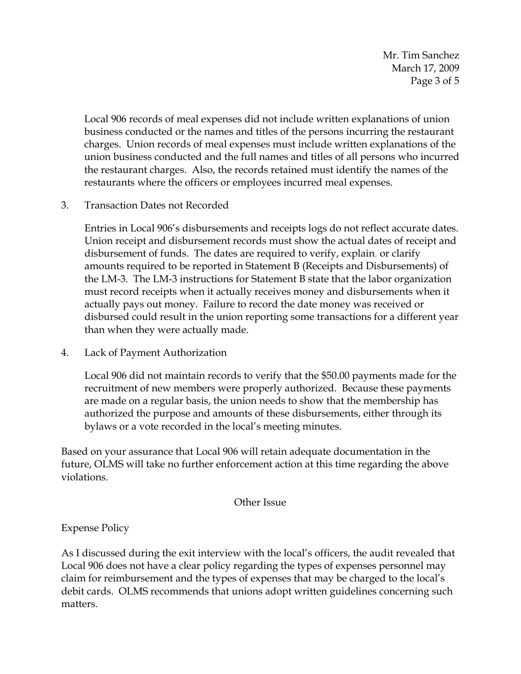Mr. Tim Sanchez March 17, 2009 Page 3 of 5

Local 906 records of meal expenses did not include written explanations of union business conducted or the names and titles of the persons incurring the restaurant charges. Union records of meal expenses must include written explanations of the union business conducted and the full names and titles of all persons who incurred the restaurant charges. Also, the records retained must identify the names of the restaurants where the officers or employees incurred meal expenses.

3. Transaction Dates not Recorded

Entries in Local 906's disbursements and receipts logs do not reflect accurate dates. Union receipt and disbursement records must show the actual dates of receipt and disbursement of funds. The dates are required to verify, explain, or clarify amounts required to be reported in Statement B (Receipts and Disbursements) of the LM-3. The LM-3 instructions for Statement B state that the labor organization must record receipts when it actually receives money and disbursements when it actually pays out money. Failure to record the date money was received or disbursed could result in the union reporting some transactions for a different year than when they were actually made.

4. Lack of Payment Authorization

Local 906 did not maintain records to verify that the \$50.00 payments made for the recruitment of new members were properly authorized. Because these payments are made on a regular basis, the union needs to show that the membership has authorized the purpose and amounts of these disbursements, either through its bylaws or a vote recorded in the local's meeting minutes.

Based on your assurance that Local 906 will retain adequate documentation in the future, OLMS will take no further enforcement action at this time regarding the above violations.

Other Issue

Expense Policy

As I discussed during the exit interview with the local's officers, the audit revealed that Local 906 does not have a clear policy regarding the types of expenses personnel may claim for reimbursement and the types of expenses that may be charged to the local's debit cards. OLMS recommends that unions adopt written guidelines concerning such matters.